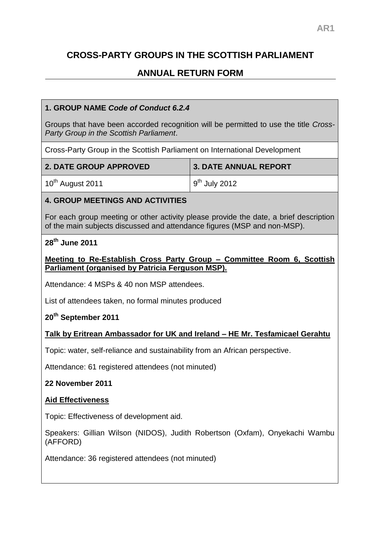# **CROSS-PARTY GROUPS IN THE SCOTTISH PARLIAMENT**

# **ANNUAL RETURN FORM**

# **1. GROUP NAME** *Code of Conduct 6.2.4*

Groups that have been accorded recognition will be permitted to use the title *Cross-Party Group in the Scottish Parliament*.

Cross-Party Group in the Scottish Parliament on International Development

| 2. DATE GROUP APPROVED       | 3. DATE ANNUAL REPORT |
|------------------------------|-----------------------|
| 10 <sup>th</sup> August 2011 | $9th$ July 2012       |

# **4. GROUP MEETINGS AND ACTIVITIES**

For each group meeting or other activity please provide the date, a brief description of the main subjects discussed and attendance figures (MSP and non-MSP).

#### **28th June 2011**

#### **Meeting to Re-Establish Cross Party Group – Committee Room 6, Scottish Parliament (organised by Patricia Ferguson MSP).**

Attendance: 4 MSPs & 40 non MSP attendees.

List of attendees taken, no formal minutes produced

# **20th September 2011**

# **Talk by Eritrean Ambassador for UK and Ireland – HE Mr. Tesfamicael Gerahtu**

Topic: water, self-reliance and sustainability from an African perspective.

Attendance: 61 registered attendees (not minuted)

**22 November 2011**

#### **Aid Effectiveness**

Topic: Effectiveness of development aid.

Speakers: Gillian Wilson (NIDOS), Judith Robertson (Oxfam), Onyekachi Wambu (AFFORD)

Attendance: 36 registered attendees (not minuted)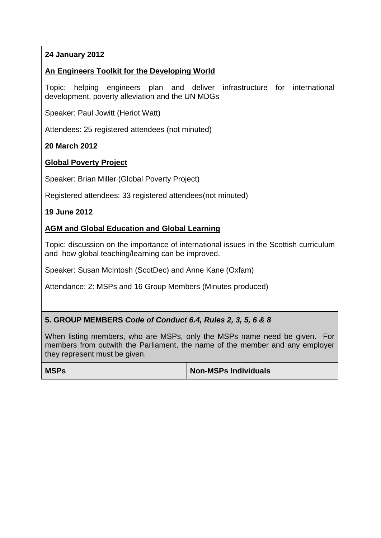# **24 January 2012**

#### **An Engineers Toolkit for the Developing World**

Topic: helping engineers plan and deliver infrastructure for international development, poverty alleviation and the UN MDGs

Speaker: Paul Jowitt (Heriot Watt)

Attendees: 25 registered attendees (not minuted)

#### **20 March 2012**

#### **Global Poverty Project**

Speaker: Brian Miller (Global Poverty Project)

Registered attendees: 33 registered attendees(not minuted)

#### **19 June 2012**

#### **AGM and Global Education and Global Learning**

Topic: discussion on the importance of international issues in the Scottish curriculum and how global teaching/learning can be improved.

Speaker: Susan McIntosh (ScotDec) and Anne Kane (Oxfam)

Attendance: 2: MSPs and 16 Group Members (Minutes produced)

# **5. GROUP MEMBERS** *Code of Conduct 6.4, Rules 2, 3, 5, 6 & 8*

When listing members, who are MSPs, only the MSPs name need be given. For members from outwith the Parliament, the name of the member and any employer they represent must be given.

| <b>MSPs</b> | Non-MSPs Individuals |
|-------------|----------------------|
|-------------|----------------------|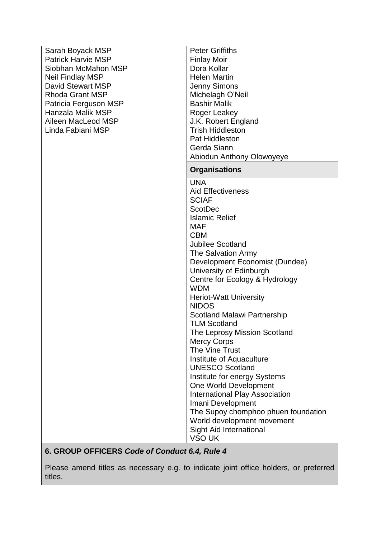| Sarah Boyack MSP          | <b>Peter Griffiths</b>                             |
|---------------------------|----------------------------------------------------|
| <b>Patrick Harvie MSP</b> | <b>Finlay Moir</b>                                 |
| Siobhan McMahon MSP       | Dora Kollar                                        |
| <b>Neil Findlay MSP</b>   | <b>Helen Martin</b>                                |
| <b>David Stewart MSP</b>  | <b>Jenny Simons</b>                                |
| <b>Rhoda Grant MSP</b>    | Michelagh O'Neil                                   |
| Patricia Ferguson MSP     | <b>Bashir Malik</b>                                |
| Hanzala Malik MSP         | Roger Leakey                                       |
| Aileen MacLeod MSP        | J.K. Robert England                                |
| Linda Fabiani MSP         | <b>Trish Hiddleston</b>                            |
|                           | <b>Pat Hiddleston</b>                              |
|                           | Gerda Siann                                        |
|                           | Abiodun Anthony Olowoyeye                          |
|                           | <b>Organisations</b>                               |
|                           | <b>UNA</b>                                         |
|                           | <b>Aid Effectiveness</b>                           |
|                           | <b>SCIAF</b>                                       |
|                           | <b>ScotDec</b>                                     |
|                           | <b>Islamic Relief</b>                              |
|                           | <b>MAF</b>                                         |
|                           | <b>CBM</b>                                         |
|                           | <b>Jubilee Scotland</b>                            |
|                           | The Salvation Army                                 |
|                           | Development Economist (Dundee)                     |
|                           | University of Edinburgh                            |
|                           | Centre for Ecology & Hydrology                     |
|                           | <b>WDM</b>                                         |
|                           | <b>Heriot-Watt University</b>                      |
|                           | <b>NIDOS</b>                                       |
|                           | Scotland Malawi Partnership                        |
|                           | <b>TLM Scotland</b>                                |
|                           | The Leprosy Mission Scotland                       |
|                           | <b>Mercy Corps</b><br>The Vine Trust               |
|                           |                                                    |
|                           | Institute of Aquaculture<br><b>UNESCO Scotland</b> |
|                           | Institute for energy Systems                       |
|                           | One World Development                              |
|                           | <b>International Play Association</b>              |
|                           | Imani Development                                  |
|                           | The Supoy chomphoo phuen foundation                |
|                           | World development movement                         |
|                           | Sight Aid International                            |
|                           | VSO UK                                             |
|                           |                                                    |

# **6. GROUP OFFICERS** *Code of Conduct 6.4, Rule 4*

Please amend titles as necessary e.g. to indicate joint office holders, or preferred titles.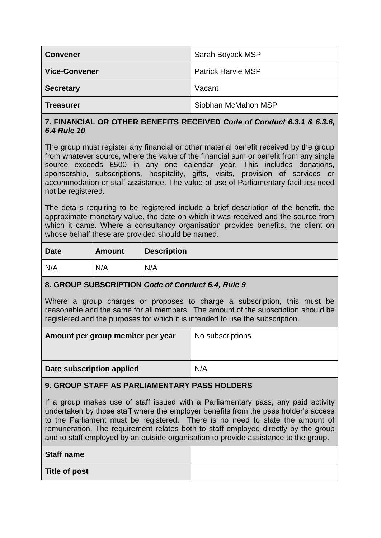| <b>Convener</b>      | Sarah Boyack MSP          |
|----------------------|---------------------------|
| <b>Vice-Convener</b> | <b>Patrick Harvie MSP</b> |
| <b>Secretary</b>     | Vacant                    |
| <b>Treasurer</b>     | Siobhan McMahon MSP       |

# **7. FINANCIAL OR OTHER BENEFITS RECEIVED** *Code of Conduct 6.3.1 & 6.3.6, 6.4 Rule 10*

The group must register any financial or other material benefit received by the group from whatever source, where the value of the financial sum or benefit from any single source exceeds £500 in any one calendar year. This includes donations, sponsorship, subscriptions, hospitality, gifts, visits, provision of services or accommodation or staff assistance. The value of use of Parliamentary facilities need not be registered.

The details requiring to be registered include a brief description of the benefit, the approximate monetary value, the date on which it was received and the source from which it came. Where a consultancy organisation provides benefits, the client on whose behalf these are provided should be named.

| <b>Date</b> | <b>Amount</b> | <b>Description</b> |
|-------------|---------------|--------------------|
| N/A         | N/A           | N/A                |

# **8. GROUP SUBSCRIPTION** *Code of Conduct 6.4, Rule 9*

Where a group charges or proposes to charge a subscription, this must be reasonable and the same for all members. The amount of the subscription should be registered and the purposes for which it is intended to use the subscription.

| Amount per group member per year | No subscriptions |
|----------------------------------|------------------|
| Date subscription applied        | N/A              |

# **9. GROUP STAFF AS PARLIAMENTARY PASS HOLDERS**

If a group makes use of staff issued with a Parliamentary pass, any paid activity undertaken by those staff where the employer benefits from the pass holder's access to the Parliament must be registered. There is no need to state the amount of remuneration. The requirement relates both to staff employed directly by the group and to staff employed by an outside organisation to provide assistance to the group.

| <b>Staff name</b>    |  |
|----------------------|--|
| <b>Title of post</b> |  |